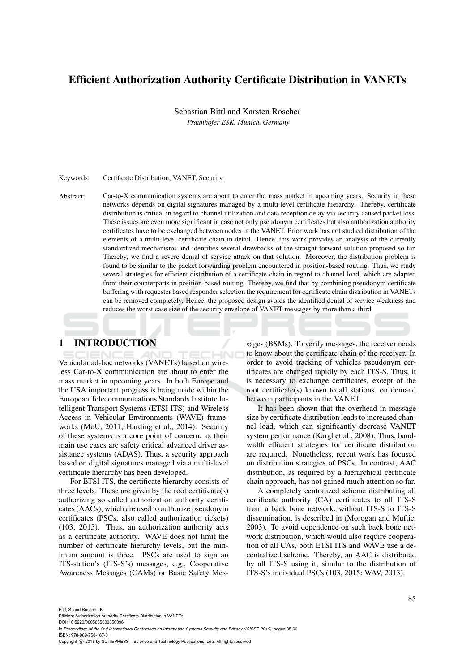# Efficient Authorization Authority Certificate Distribution in VANETs

Sebastian Bittl and Karsten Roscher *Fraunhofer ESK, Munich, Germany*

#### Keywords: Certificate Distribution, VANET, Security.

Abstract: Car-to-X communication systems are about to enter the mass market in upcoming years. Security in these networks depends on digital signatures managed by a multi-level certificate hierarchy. Thereby, certificate distribution is critical in regard to channel utilization and data reception delay via security caused packet loss. These issues are even more significant in case not only pseudonym certificates but also authorization authority certificates have to be exchanged between nodes in the VANET. Prior work has not studied distribution of the elements of a multi-level certificate chain in detail. Hence, this work provides an analysis of the currently standardized mechanisms and identifies several drawbacks of the straight forward solution proposed so far. Thereby, we find a severe denial of service attack on that solution. Moreover, the distribution problem is found to be similar to the packet forwarding problem encountered in position-based routing. Thus, we study several strategies for efficient distribution of a certificate chain in regard to channel load, which are adapted from their counterparts in position-based routing. Thereby, we find that by combining pseudonym certificate buffering with requester based responder selection the requirement for certificate chain distribution in VANETs can be removed completely. Hence, the proposed design avoids the identified denial of service weakness and reduces the worst case size of the security envelope of VANET messages by more than a third.

## 1 INTRODUCTION

Vehicular ad-hoc networks (VANETs) based on wireless Car-to-X communication are about to enter the mass market in upcoming years. In both Europe and the USA important progress is being made within the European Telecommunications Standards Institute Intelligent Transport Systems (ETSI ITS) and Wireless Access in Vehicular Environments (WAVE) frameworks (MoU, 2011; Harding et al., 2014). Security of these systems is a core point of concern, as their main use cases are safety critical advanced driver assistance systems (ADAS). Thus, a security approach based on digital signatures managed via a multi-level certificate hierarchy has been developed.

For ETSI ITS, the certificate hierarchy consists of three levels. These are given by the root certificate(s) authorizing so called authorization authority certificates (AACs), which are used to authorize pseudonym certificates (PSCs, also called authorization tickets) (103, 2015). Thus, an authorization authority acts as a certificate authority. WAVE does not limit the number of certificate hierarchy levels, but the minimum amount is three. PSCs are used to sign an ITS-station's (ITS-S's) messages, e.g., Cooperative Awareness Messages (CAMs) or Basic Safety Messages (BSMs). To verify messages, the receiver needs to know about the certificate chain of the receiver. In order to avoid tracking of vehicles pseudonym certificates are changed rapidly by each ITS-S. Thus, it is necessary to exchange certificates, except of the root certificate(s) known to all stations, on demand between participants in the VANET.

It has been shown that the overhead in message size by certificate distribution leads to increased channel load, which can significantly decrease VANET system performance (Kargl et al., 2008). Thus, bandwidth efficient strategies for certificate distribution are required. Nonetheless, recent work has focused on distribution strategies of PSCs. In contrast, AAC distribution, as required by a hierarchical certificate chain approach, has not gained much attention so far.

A completely centralized scheme distributing all certificate authority (CA) certificates to all ITS-S from a back bone network, without ITS-S to ITS-S dissemination, is described in (Morogan and Muftic, 2003). To avoid dependence on such back bone network distribution, which would also require cooperation of all CAs, both ETSI ITS and WAVE use a decentralized scheme. Thereby, an AAC is distributed by all ITS-S using it, similar to the distribution of ITS-S's individual PSCs (103, 2015; WAV, 2013).

Bittl, S. and Roscher, K.

Efficient Authorization Authority Certificate Distribution in VANETs. DOI: 10.5220/0005685600850096

In *Proceedings of the 2nd International Conference on Information Systems Security and Privacy (ICISSP 2016)*, pages 85-96 ISBN: 978-989-758-167-0

Copyright (C) 2016 by SCITEPRESS - Science and Technology Publications, Lda. All rights reserved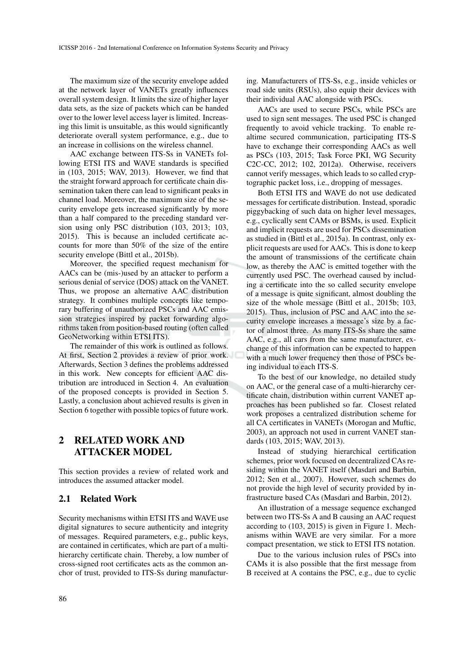The maximum size of the security envelope added at the network layer of VANETs greatly influences overall system design. It limits the size of higher layer data sets, as the size of packets which can be handed over to the lower level access layer is limited. Increasing this limit is unsuitable, as this would significantly deteriorate overall system performance, e.g., due to an increase in collisions on the wireless channel.

AAC exchange between ITS-Ss in VANETs following ETSI ITS and WAVE standards is specified in (103, 2015; WAV, 2013). However, we find that the straight forward approach for certificate chain dissemination taken there can lead to significant peaks in channel load. Moreover, the maximum size of the security envelope gets increased significantly by more than a half compared to the preceding standard version using only PSC distribution (103, 2013; 103, 2015). This is because an included certificate accounts for more than 50% of the size of the entire security envelope (Bittl et al., 2015b).

Moreover, the specified request mechanism for AACs can be (mis-)used by an attacker to perform a serious denial of service (DOS) attack on the VANET. Thus, we propose an alternative AAC distribution strategy. It combines multiple concepts like temporary buffering of unauthorized PSCs and AAC emission strategies inspired by packet forwarding algorithms taken from position-based routing (often called GeoNetworking within ETSI ITS).

The remainder of this work is outlined as follows. At first, Section 2 provides a review of prior work. Afterwards, Section 3 defines the problems addressed in this work. New concepts for efficient AAC distribution are introduced in Section 4. An evaluation of the proposed concepts is provided in Section 5. Lastly, a conclusion about achieved results is given in Section 6 together with possible topics of future work.

# 2 RELATED WORK AND ATTACKER MODEL

This section provides a review of related work and introduces the assumed attacker model.

## 2.1 Related Work

Security mechanisms within ETSI ITS and WAVE use digital signatures to secure authenticity and integrity of messages. Required parameters, e.g., public keys, are contained in certificates, which are part of a multihierarchy certificate chain. Thereby, a low number of cross-signed root certificates acts as the common anchor of trust, provided to ITS-Ss during manufacturing. Manufacturers of ITS-Ss, e.g., inside vehicles or road side units (RSUs), also equip their devices with their individual AAC alongside with PSCs.

AACs are used to secure PSCs, while PSCs are used to sign sent messages. The used PSC is changed frequently to avoid vehicle tracking. To enable realtime secured communication, participating ITS-S have to exchange their corresponding AACs as well as PSCs (103, 2015; Task Force PKI, WG Security C2C-CC, 2012; 102, 2012a). Otherwise, receivers cannot verify messages, which leads to so called cryptographic packet loss, i.e., dropping of messages.

Both ETSI ITS and WAVE do not use dedicated messages for certificate distribution. Instead, sporadic piggybacking of such data on higher level messages, e.g., cyclically sent CAMs or BSMs, is used. Explicit and implicit requests are used for PSCs dissemination as studied in (Bittl et al., 2015a). In contrast, only explicit requests are used for AACs. This is done to keep the amount of transmissions of the certificate chain low, as thereby the AAC is emitted together with the currently used PSC. The overhead caused by including a certificate into the so called security envelope of a message is quite significant, almost doubling the size of the whole message (Bittl et al., 2015b; 103, 2015). Thus, inclusion of PSC and AAC into the security envelope increases a message's size by a factor of almost three. As many ITS-Ss share the same AAC, e.g., all cars from the same manufacturer, exchange of this information can be expected to happen with a much lower frequency then those of PSCs being individual to each ITS-S.

To the best of our knowledge, no detailed study on AAC, or the general case of a multi-hierarchy certificate chain, distribution within current VANET approaches has been published so far. Closest related work proposes a centralized distribution scheme for all CA certificates in VANETs (Morogan and Muftic, 2003), an approach not used in current VANET standards (103, 2015; WAV, 2013).

Instead of studying hierarchical certification schemes, prior work focused on decentralized CAs residing within the VANET itself (Masdari and Barbin, 2012; Sen et al., 2007). However, such schemes do not provide the high level of security provided by infrastructure based CAs (Masdari and Barbin, 2012).

An illustration of a message sequence exchanged between two ITS-Ss A and B causing an AAC request according to (103, 2015) is given in Figure 1. Mechanisms within WAVE are very similar. For a more compact presentation, we stick to ETSI ITS notation.

Due to the various inclusion rules of PSCs into CAMs it is also possible that the first message from B received at A contains the PSC, e.g., due to cyclic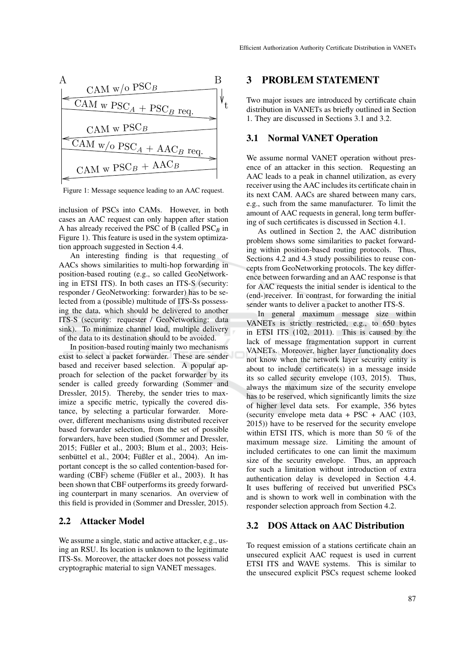

Figure 1: Message sequence leading to an AAC request.

inclusion of PSCs into CAMs. However, in both cases an AAC request can only happen after station A has already received the PSC of B (called PSC*<sup>B</sup>* in Figure 1). This feature is used in the system optimization approach suggested in Section 4.4.

An interesting finding is that requesting of AACs shows similarities to multi-hop forwarding in position-based routing (e.g., so called GeoNetworking in ETSI ITS). In both cases an ITS-S (security: responder / GeoNetworking: forwarder) has to be selected from a (possible) multitude of ITS-Ss possessing the data, which should be delivered to another ITS-S (security: requester / GeoNetworking: data sink). To minimize channel load, multiple delivery of the data to its destination should to be avoided.

In position-based routing mainly two mechanisms exist to select a packet forwarder. These are sender based and receiver based selection. A popular approach for selection of the packet forwarder by its sender is called greedy forwarding (Sommer and Dressler, 2015). Thereby, the sender tries to maximize a specific metric, typically the covered distance, by selecting a particular forwarder. Moreover, different mechanisms using distributed receiver based forwarder selection, from the set of possible forwarders, have been studied (Sommer and Dressler, 2015; Füßler et al., 2003; Blum et al., 2003; Heissenbüttel et al., 2004; Füßler et al., 2004). An important concept is the so called contention-based forwarding (CBF) scheme (Füßler et al., 2003). It has been shown that CBF outperforms its greedy forwarding counterpart in many scenarios. An overview of this field is provided in (Sommer and Dressler, 2015).

## 2.2 Attacker Model

We assume a single, static and active attacker, e.g., using an RSU. Its location is unknown to the legitimate ITS-Ss. Moreover, the attacker does not possess valid cryptographic material to sign VANET messages.

## 3 PROBLEM STATEMENT

Two major issues are introduced by certificate chain distribution in VANETs as briefly outlined in Section 1. They are discussed in Sections 3.1 and 3.2.

## 3.1 Normal VANET Operation

We assume normal VANET operation without presence of an attacker in this section. Requesting an AAC leads to a peak in channel utilization, as every receiver using the AAC includes its certificate chain in its next CAM. AACs are shared between many cars, e.g., such from the same manufacturer. To limit the amount of AAC requests in general, long term buffering of such certificates is discussed in Section 4.1.

As outlined in Section 2, the AAC distribution problem shows some similarities to packet forwarding within position-based routing protocols. Thus, Sections 4.2 and 4.3 study possibilities to reuse concepts from GeoNetworking protocols. The key difference between forwarding and an AAC response is that for AAC requests the initial sender is identical to the (end-)receiver. In contrast, for forwarding the initial sender wants to deliver a packet to another ITS-S.

In general maximum message size within VANETs is strictly restricted, e.g., to 650 bytes in ETSI ITS (102, 2011). This is caused by the lack of message fragmentation support in current VANETs. Moreover, higher layer functionality does not know when the network layer security entity is about to include certificate(s) in a message inside its so called security envelope (103, 2015). Thus, always the maximum size of the security envelope has to be reserved, which significantly limits the size of higher level data sets. For example, 356 bytes (security envelope meta data + PSC + AAC  $(103,$ 2015)) have to be reserved for the security envelope within ETSI ITS, which is more than 50 % of the maximum message size. Limiting the amount of included certificates to one can limit the maximum size of the security envelope. Thus, an approach for such a limitation without introduction of extra authentication delay is developed in Section 4.4. It uses buffering of received but unverified PSCs and is shown to work well in combination with the responder selection approach from Section 4.2.

## 3.2 DOS Attack on AAC Distribution

To request emission of a stations certificate chain an unsecured explicit AAC request is used in current ETSI ITS and WAVE systems. This is similar to the unsecured explicit PSCs request scheme looked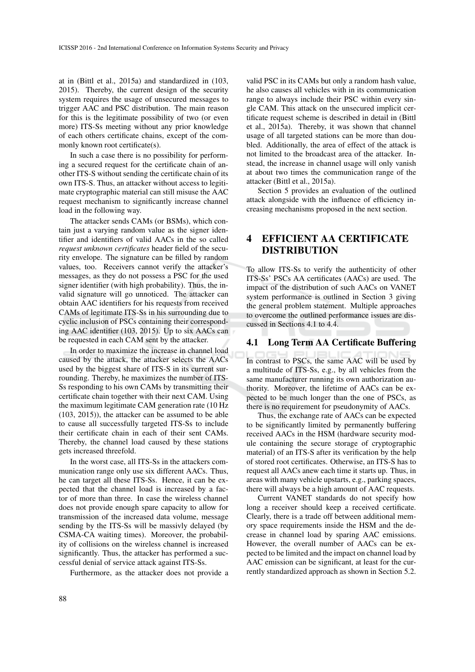at in (Bittl et al., 2015a) and standardized in (103, 2015). Thereby, the current design of the security system requires the usage of unsecured messages to trigger AAC and PSC distribution. The main reason for this is the legitimate possibility of two (or even more) ITS-Ss meeting without any prior knowledge of each others certificate chains, except of the commonly known root certificate(s).

In such a case there is no possibility for performing a secured request for the certificate chain of another ITS-S without sending the certificate chain of its own ITS-S. Thus, an attacker without access to legitimate cryptographic material can still misuse the AAC request mechanism to significantly increase channel load in the following way.

The attacker sends CAMs (or BSMs), which contain just a varying random value as the signer identifier and identifiers of valid AACs in the so called *request unknown certificates* header field of the security envelope. The signature can be filled by random values, too. Receivers cannot verify the attacker's messages, as they do not possess a PSC for the used signer identifier (with high probability). Thus, the invalid signature will go unnoticed. The attacker can obtain AAC identifiers for his requests from received CAMs of legitimate ITS-Ss in his surrounding due to cyclic inclusion of PSCs containing their corresponding AAC identifier (103, 2015). Up to six AACs can be requested in each CAM sent by the attacker.

In order to maximize the increase in channel load caused by the attack, the attacker selects the AACs used by the biggest share of ITS-S in its current surrounding. Thereby, he maximizes the number of ITS-Ss responding to his own CAMs by transmitting their certificate chain together with their next CAM. Using the maximum legitimate CAM generation rate (10 Hz (103, 2015)), the attacker can be assumed to be able to cause all successfully targeted ITS-Ss to include their certificate chain in each of their sent CAMs. Thereby, the channel load caused by these stations gets increased threefold.

In the worst case, all ITS-Ss in the attackers communication range only use six different AACs. Thus, he can target all these ITS-Ss. Hence, it can be expected that the channel load is increased by a factor of more than three. In case the wireless channel does not provide enough spare capacity to allow for transmission of the increased data volume, message sending by the ITS-Ss will be massivly delayed (by CSMA-CA waiting times). Moreover, the probability of collisions on the wireless channel is increased significantly. Thus, the attacker has performed a successful denial of service attack against ITS-Ss.

Furthermore, as the attacker does not provide a

valid PSC in its CAMs but only a random hash value, he also causes all vehicles with in its communication range to always include their PSC within every single CAM. This attack on the unsecured implicit certificate request scheme is described in detail in (Bittl et al., 2015a). Thereby, it was shown that channel usage of all targeted stations can be more than doubled. Additionally, the area of effect of the attack is not limited to the broadcast area of the attacker. Instead, the increase in channel usage will only vanish at about two times the communication range of the attacker (Bittl et al., 2015a).

Section 5 provides an evaluation of the outlined attack alongside with the influence of efficiency increasing mechanisms proposed in the next section.

# 4 EFFICIENT AA CERTIFICATE DISTRIBUTION

To allow ITS-Ss to verify the authenticity of other ITS-Ss' PSCs AA certificates (AACs) are used. The impact of the distribution of such AACs on VANET system performance is outlined in Section 3 giving the general problem statement. Multiple approaches to overcome the outlined performance issues are discussed in Sections 4.1 to 4.4.

## 4.1 Long Term AA Certificate Buffering

In contrast to PSCs, the same AAC will be used by a multitude of ITS-Ss, e.g., by all vehicles from the same manufacturer running its own authorization authority. Moreover, the lifetime of AACs can be expected to be much longer than the one of PSCs, as there is no requirement for pseudonymity of AACs.

Thus, the exchange rate of AACs can be expected to be significantly limited by permanently buffering received AACs in the HSM (hardware security module containing the secure storage of cryptographic material) of an ITS-S after its verification by the help of stored root certificates. Otherwise, an ITS-S has to request all AACs anew each time it starts up. Thus, in areas with many vehicle upstarts, e.g., parking spaces, there will always be a high amount of AAC requests.

Current VANET standards do not specify how long a receiver should keep a received certificate. Clearly, there is a trade off between additional memory space requirements inside the HSM and the decrease in channel load by sparing AAC emissions. However, the overall number of AACs can be expected to be limited and the impact on channel load by AAC emission can be significant, at least for the currently standardized approach as shown in Section 5.2.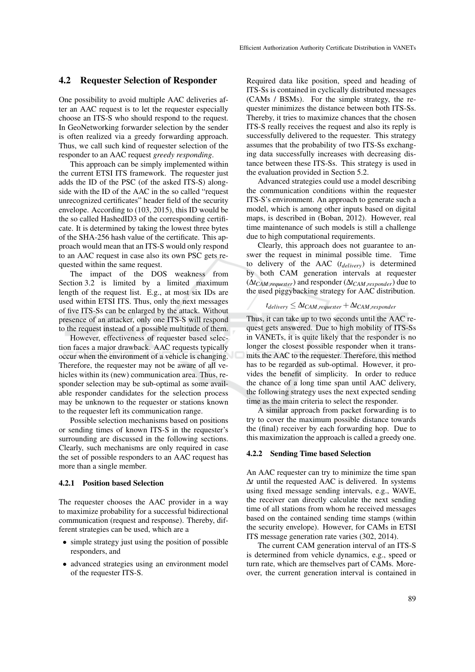## 4.2 Requester Selection of Responder

One possibility to avoid multiple AAC deliveries after an AAC request is to let the requester especially choose an ITS-S who should respond to the request. In GeoNetworking forwarder selection by the sender is often realized via a greedy forwarding approach. Thus, we call such kind of requester selection of the responder to an AAC request *greedy responding*.

This approach can be simply implemented within the current ETSI ITS framework. The requester just adds the ID of the PSC (of the asked ITS-S) alongside with the ID of the AAC in the so called "request unrecognized certificates" header field of the security envelope. According to (103, 2015), this ID would be the so called HashedID3 of the corresponding certificate. It is determined by taking the lowest three bytes of the SHA-256 hash value of the certificate. This approach would mean that an ITS-S would only respond to an AAC request in case also its own PSC gets requested within the same request.

The impact of the DOS weakness from Section 3.2 is limited by a limited maximum length of the request list. E.g., at most six IDs are used within ETSI ITS. Thus, only the next messages of five ITS-Ss can be enlarged by the attack. Without presence of an attacker, only one ITS-S will respond to the request instead of a possible multitude of them.

However, effectiveness of requester based selection faces a major drawback. AAC requests typically occur when the environment of a vehicle is changing. Therefore, the requester may not be aware of all vehicles within its (new) communication area. Thus, responder selection may be sub-optimal as some available responder candidates for the selection process may be unknown to the requester or stations known to the requester left its communication range.

Possible selection mechanisms based on positions or sending times of known ITS-S in the requester's surrounding are discussed in the following sections. Clearly, such mechanisms are only required in case the set of possible responders to an AAC request has more than a single member.

#### 4.2.1 Position based Selection

The requester chooses the AAC provider in a way to maximize probability for a successful bidirectional communication (request and response). Thereby, different strategies can be used, which are a

- simple strategy just using the position of possible responders, and
- advanced strategies using an environment model of the requester ITS-S.

Required data like position, speed and heading of ITS-Ss is contained in cyclically distributed messages (CAMs / BSMs). For the simple strategy, the requester minimizes the distance between both ITS-Ss. Thereby, it tries to maximize chances that the chosen ITS-S really receives the request and also its reply is successfully delivered to the requester. This strategy assumes that the probability of two ITS-Ss exchanging data successfully increases with decreasing distance between these ITS-Ss. This strategy is used in the evaluation provided in Section 5.2.

Advanced strategies could use a model describing the communication conditions within the requester ITS-S's environment. An approach to generate such a model, which is among other inputs based on digital maps, is described in (Boban, 2012). However, real time maintenance of such models is still a challenge due to high computational requirements.

Clearly, this approach does not guarantee to answer the request in minimal possible time. Time to delivery of the AAC (*tdelivery*) is determined by both CAM generation intervals at requester (∆*tCAM*,*requester*) and responder (∆*tCAM*,*responder*) due to the used piggybacking strategy for AAC distribution.

*tdelivery* ≤ ∆*tCAM*,*requester* +∆*tCAM*,*responder*

Thus, it can take up to two seconds until the AAC request gets answered. Due to high mobility of ITS-Ss in VANETs, it is quite likely that the responder is no longer the closest possible responder when it transmits the AAC to the requester. Therefore, this method has to be regarded as sub-optimal. However, it provides the benefit of simplicity. In order to reduce the chance of a long time span until AAC delivery, the following strategy uses the next expected sending time as the main criteria to select the responder.

A similar approach from packet forwarding is to try to cover the maximum possible distance towards the (final) receiver by each forwarding hop. Due to this maximization the approach is called a greedy one.

#### 4.2.2 Sending Time based Selection

An AAC requester can try to minimize the time span ∆*t* until the requested AAC is delivered. In systems using fixed message sending intervals, e.g., WAVE, the receiver can directly calculate the next sending time of all stations from whom he received messages based on the contained sending time stamps (within the security envelope). However, for CAMs in ETSI ITS message generation rate varies (302, 2014).

The current CAM generation interval of an ITS-S is determined from vehicle dynamics, e.g., speed or turn rate, which are themselves part of CAMs. Moreover, the current generation interval is contained in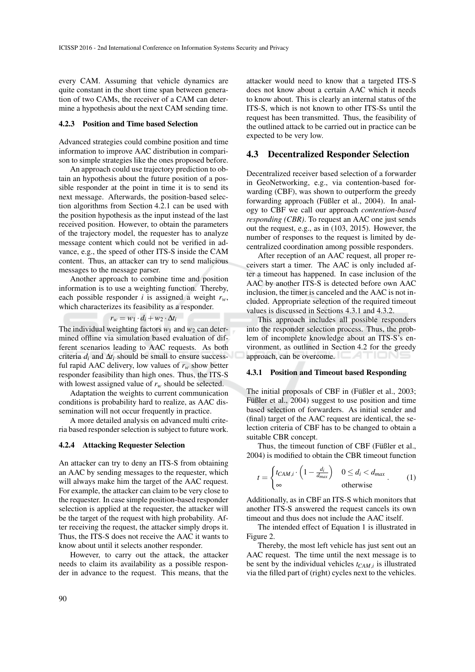every CAM. Assuming that vehicle dynamics are quite constant in the short time span between generation of two CAMs, the receiver of a CAM can determine a hypothesis about the next CAM sending time.

#### 4.2.3 Position and Time based Selection

Advanced strategies could combine position and time information to improve AAC distribution in comparison to simple strategies like the ones proposed before.

An approach could use trajectory prediction to obtain an hypothesis about the future position of a possible responder at the point in time it is to send its next message. Afterwards, the position-based selection algorithms from Section 4.2.1 can be used with the position hypothesis as the input instead of the last received position. However, to obtain the parameters of the trajectory model, the requester has to analyze message content which could not be verified in advance, e.g., the speed of other ITS-S inside the CAM content. Thus, an attacker can try to send malicious messages to the message parser.

Another approach to combine time and position information is to use a weighting function. Thereby, each possible responder *i* is assigned a weight  $r_w$ , which characterizes its feasibility as a responder.

$$
r_w = w_1 \cdot d_i + w_2 \cdot \Delta t_i
$$

The individual weighting factors  $w_1$  and  $w_2$  can determined offline via simulation based evaluation of different scenarios leading to AAC requests. As both criteria  $d_i$  and  $\Delta t_i$  should be small to ensure successful rapid AAC delivery, low values of  $r_w$  show better responder feasibility than high ones. Thus, the ITS-S with lowest assigned value of  $r_w$  should be selected.

Adaptation the weights to current communication conditions is probability hard to realize, as AAC dissemination will not occur frequently in practice.

A more detailed analysis on advanced multi criteria based responder selection is subject to future work.

#### 4.2.4 Attacking Requester Selection

An attacker can try to deny an ITS-S from obtaining an AAC by sending messages to the requester, which will always make him the target of the AAC request. For example, the attacker can claim to be very close to the requester. In case simple position-based responder selection is applied at the requester, the attacker will be the target of the request with high probability. After receiving the request, the attacker simply drops it. Thus, the ITS-S does not receive the AAC it wants to know about until it selects another responder.

However, to carry out the attack, the attacker needs to claim its availability as a possible responder in advance to the request. This means, that the

attacker would need to know that a targeted ITS-S does not know about a certain AAC which it needs to know about. This is clearly an internal status of the ITS-S, which is not known to other ITS-Ss until the request has been transmitted. Thus, the feasibility of the outlined attack to be carried out in practice can be expected to be very low.

### 4.3 Decentralized Responder Selection

Decentralized receiver based selection of a forwarder in GeoNetworking, e.g., via contention-based forwarding (CBF), was shown to outperform the greedy forwarding approach (Füßler et al., 2004). In analogy to CBF we call our approach *contention-based responding (CBR)*. To request an AAC one just sends out the request, e.g., as in (103, 2015). However, the number of responses to the request is limited by decentralized coordination among possible responders.

After reception of an AAC request, all proper receivers start a timer. The AAC is only included after a timeout has happened. In case inclusion of the AAC by another ITS-S is detected before own AAC inclusion, the timer is canceled and the AAC is not included. Appropriate selection of the required timeout values is discussed in Sections 4.3.1 and 4.3.2.

This approach includes all possible responders into the responder selection process. Thus, the problem of incomplete knowledge about an ITS-S's environment, as outlined in Section 4.2 for the greedy approach, can be overcome.

#### 4.3.1 Position and Timeout based Responding

The initial proposals of CBF in (Füßler et al., 2003; Füßler et al., 2004) suggest to use position and time based selection of forwarders. As initial sender and (final) target of the AAC request are identical, the selection criteria of CBF has to be changed to obtain a suitable CBR concept.

Thus, the timeout function of CBF (Füßler et al., 2004) is modified to obtain the CBR timeout function

$$
t = \begin{cases} t_{CAM,i} \cdot \left(1 - \frac{d_i}{d_{max}}\right) & 0 \le d_i < d_{max} \\ \infty & \text{otherwise} \end{cases} (1)
$$

Additionally, as in CBF an ITS-S which monitors that another ITS-S answered the request cancels its own timeout and thus does not include the AAC itself.

The intended effect of Equation 1 is illustrated in Figure 2.

Thereby, the most left vehicle has just sent out an AAC request. The time until the next message is to be sent by the individual vehicles *tCAM*,*<sup>i</sup>* is illustrated via the filled part of (right) cycles next to the vehicles.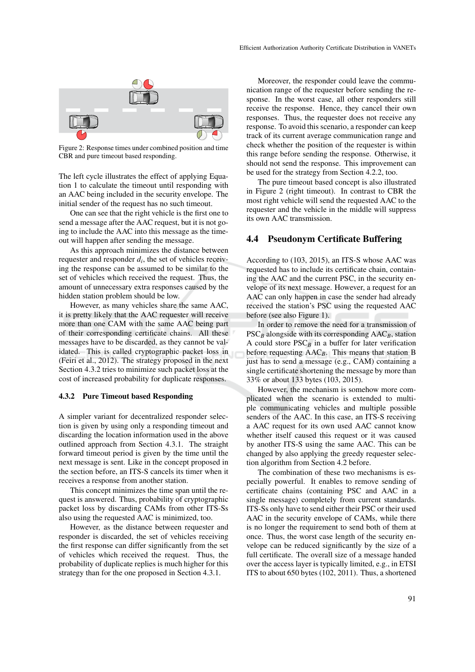

Figure 2: Response times under combined position and time CBR and pure timeout based responding.

The left cycle illustrates the effect of applying Equation 1 to calculate the timeout until responding with an AAC being included in the security envelope. The initial sender of the request has no such timeout.

One can see that the right vehicle is the first one to send a message after the AAC request, but it is not going to include the AAC into this message as the timeout will happen after sending the message.

As this approach minimizes the distance between requester and responder *d<sup>i</sup>* , the set of vehicles receiving the response can be assumed to be similar to the set of vehicles which received the request. Thus, the amount of unnecessary extra responses caused by the hidden station problem should be low.

However, as many vehicles share the same AAC, it is pretty likely that the AAC requester will receive more than one CAM with the same AAC being part of their corresponding certificate chains. All these messages have to be discarded, as they cannot be validated. This is called cryptographic packet loss in (Feiri et al., 2012). The strategy proposed in the next Section 4.3.2 tries to minimize such packet loss at the cost of increased probability for duplicate responses.

#### 4.3.2 Pure Timeout based Responding

A simpler variant for decentralized responder selection is given by using only a responding timeout and discarding the location information used in the above outlined approach from Section 4.3.1. The straight forward timeout period is given by the time until the next message is sent. Like in the concept proposed in the section before, an ITS-S cancels its timer when it receives a response from another station.

This concept minimizes the time span until the request is answered. Thus, probability of cryptographic packet loss by discarding CAMs from other ITS-Ss also using the requested AAC is minimized, too.

However, as the distance between requester and responder is discarded, the set of vehicles receiving the first response can differ significantly from the set of vehicles which received the request. Thus, the probability of duplicate replies is much higher for this strategy than for the one proposed in Section 4.3.1.

Moreover, the responder could leave the communication range of the requester before sending the response. In the worst case, all other responders still receive the response. Hence, they cancel their own responses. Thus, the requester does not receive any response. To avoid this scenario, a responder can keep track of its current average communication range and check whether the position of the requester is within this range before sending the response. Otherwise, it should not send the response. This improvement can be used for the strategy from Section 4.2.2, too.

The pure timeout based concept is also illustrated in Figure 2 (right timeout). In contrast to CBR the most right vehicle will send the requested AAC to the requester and the vehicle in the middle will suppress its own AAC transmission.

## 4.4 Pseudonym Certificate Buffering

According to (103, 2015), an ITS-S whose AAC was requested has to include its certificate chain, containing the AAC and the current PSC, in the security envelope of its next message. However, a request for an AAC can only happen in case the sender had already received the station's PSC using the requested AAC before (see also Figure 1).

In order to remove the need for a transmission of PSC*<sup>B</sup>* alongside with its corresponding AAC*B*, station A could store  $PSC_B$  in a buffer for later verification before requesting AAC*B*. This means that station B just has to send a message (e.g., CAM) containing a single certificate shortening the message by more than 33% or about 133 bytes (103, 2015).

However, the mechanism is somehow more complicated when the scenario is extended to multiple communicating vehicles and multiple possible senders of the AAC. In this case, an ITS-S receiving a AAC request for its own used AAC cannot know whether itself caused this request or it was caused by another ITS-S using the same AAC. This can be changed by also applying the greedy requester selection algorithm from Section 4.2 before.

The combination of these two mechanisms is especially powerful. It enables to remove sending of certificate chains (containing PSC and AAC in a single message) completely from current standards. ITS-Ss only have to send either their PSC or their used AAC in the security envelope of CAMs, while there is no longer the requirement to send both of them at once. Thus, the worst case length of the security envelope can be reduced significantly by the size of a full certificate. The overall size of a message handed over the access layer is typically limited, e.g., in ETSI ITS to about 650 bytes (102, 2011). Thus, a shortened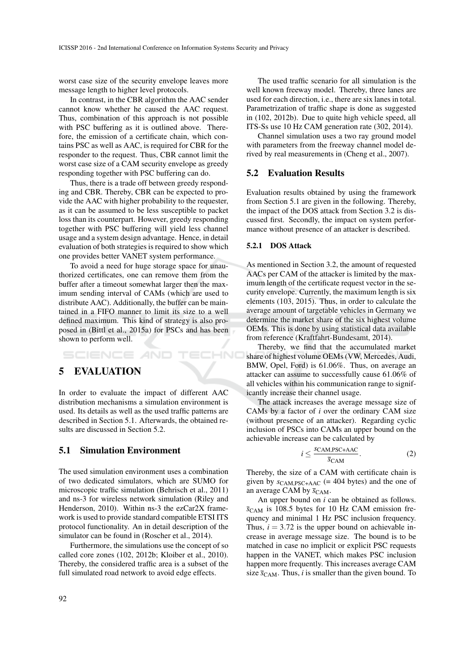worst case size of the security envelope leaves more message length to higher level protocols.

In contrast, in the CBR algorithm the AAC sender cannot know whether he caused the AAC request. Thus, combination of this approach is not possible with PSC buffering as it is outlined above. Therefore, the emission of a certificate chain, which contains PSC as well as AAC, is required for CBR for the responder to the request. Thus, CBR cannot limit the worst case size of a CAM security envelope as greedy responding together with PSC buffering can do.

Thus, there is a trade off between greedy responding and CBR. Thereby, CBR can be expected to provide the AAC with higher probability to the requester, as it can be assumed to be less susceptible to packet loss than its counterpart. However, greedy responding together with PSC buffering will yield less channel usage and a system design advantage. Hence, in detail evaluation of both strategies is required to show which one provides better VANET system performance.

To avoid a need for huge storage space for unauthorized certificates, one can remove them from the buffer after a timeout somewhat larger then the maximum sending interval of CAMs (which are used to distribute AAC). Additionally, the buffer can be maintained in a FIFO manner to limit its size to a well defined maximum. This kind of strategy is also proposed in (Bittl et al., 2015a) for PSCs and has been shown to perform well.

ECHNO SCIENCE *A*ND

## 5 EVALUATION

In order to evaluate the impact of different AAC distribution mechanisms a simulation environment is used. Its details as well as the used traffic patterns are described in Section 5.1. Afterwards, the obtained results are discussed in Section 5.2.

## 5.1 Simulation Environment

The used simulation environment uses a combination of two dedicated simulators, which are SUMO for microscopic traffic simulation (Behrisch et al., 2011) and ns-3 for wireless network simulation (Riley and Henderson, 2010). Within ns-3 the ezCar2X framework is used to provide standard compatible ETSI ITS protocol functionality. An in detail description of the simulator can be found in (Roscher et al., 2014).

Furthermore, the simulations use the concept of so called core zones (102, 2012b; Kloiber et al., 2010). Thereby, the considered traffic area is a subset of the full simulated road network to avoid edge effects.

The used traffic scenario for all simulation is the well known freeway model. Thereby, three lanes are used for each direction, i.e., there are six lanes in total. Parametrization of traffic shape is done as suggested in (102, 2012b). Due to quite high vehicle speed, all ITS-Ss use 10 Hz CAM generation rate (302, 2014).

Channel simulation uses a two ray ground model with parameters from the freeway channel model derived by real measurements in (Cheng et al., 2007).

### 5.2 Evaluation Results

Evaluation results obtained by using the framework from Section 5.1 are given in the following. Thereby, the impact of the DOS attack from Section 3.2 is discussed first. Secondly, the impact on system performance without presence of an attacker is described.

#### 5.2.1 DOS Attack

As mentioned in Section 3.2, the amount of requested AACs per CAM of the attacker is limited by the maximum length of the certificate request vector in the security envelope. Currently, the maximum length is six elements (103, 2015). Thus, in order to calculate the average amount of targetable vehicles in Germany we determine the market share of the six highest volume OEMs. This is done by using statistical data available from reference (Kraftfahrt-Bundesamt, 2014).

Thereby, we find that the accumulated market share of highest volume OEMs (VW, Mercedes, Audi, BMW, Opel, Ford) is 61.06%. Thus, on average an attacker can assume to successfully cause 61.06% of all vehicles within his communication range to significantly increase their channel usage.

The attack increases the average message size of CAMs by a factor of *i* over the ordinary CAM size (without presence of an attacker). Regarding cyclic inclusion of PSCs into CAMs an upper bound on the achievable increase can be calculated by

$$
i \leq \frac{s_{\text{CAM,PSC+ACC}}}{\bar{s}_{\text{CAM}}}.
$$
 (2)

Thereby, the size of a CAM with certificate chain is given by  $s_{\text{CAM,PSC+AAC}}$  (= 404 bytes) and the one of an average CAM by  $\bar{s}_{\text{CAM}}$ .

An upper bound on *i* can be obtained as follows.  $\bar{s}_{\text{CAM}}$  is 108.5 bytes for 10 Hz CAM emission frequency and minimal 1 Hz PSC inclusion frequency. Thus,  $i = 3.72$  is the upper bound on achievable increase in average message size. The bound is to be matched in case no implicit or explicit PSC requests happen in the VANET, which makes PSC inclusion happen more frequently. This increases average CAM size  $\bar{s}_{\text{CAM}}$ . Thus, *i* is smaller than the given bound. To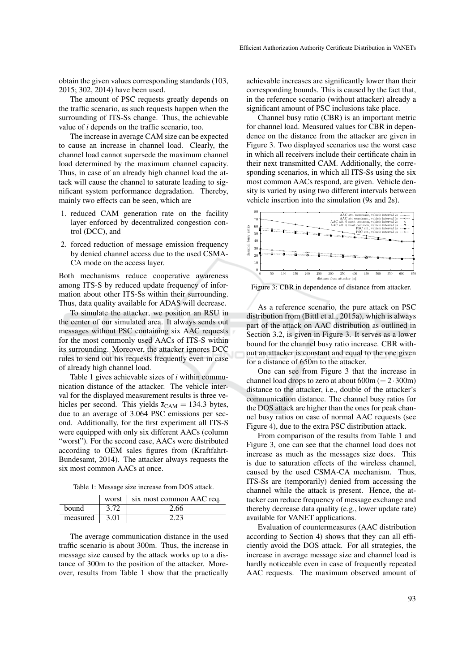obtain the given values corresponding standards (103, 2015; 302, 2014) have been used.

The amount of PSC requests greatly depends on the traffic scenario, as such requests happen when the surrounding of ITS-Ss change. Thus, the achievable value of *i* depends on the traffic scenario, too.

The increase in average CAM size can be expected to cause an increase in channel load. Clearly, the channel load cannot supersede the maximum channel load determined by the maximum channel capacity. Thus, in case of an already high channel load the attack will cause the channel to saturate leading to significant system performance degradation. Thereby, mainly two effects can be seen, which are

- 1. reduced CAM generation rate on the facility layer enforced by decentralized congestion control (DCC), and
- 2. forced reduction of message emission frequency by denied channel access due to the used CSMA-CA mode on the access layer.

Both mechanisms reduce cooperative awareness among ITS-S by reduced update frequency of information about other ITS-Ss within their surrounding. Thus, data quality available for ADAS will decrease.

To simulate the attacker, we position an RSU in the center of our simulated area. It always sends out messages without PSC containing six AAC requests for the most commonly used AACs of ITS-S within its surrounding. Moreover, the attacker ignores DCC rules to send out his requests frequently even in case of already high channel load.

Table 1 gives achievable sizes of *i* within communication distance of the attacker. The vehicle interval for the displayed measurement results is three vehicles per second. This yields  $\bar{s}_{\text{CAM}} = 134.3$  bytes, due to an average of 3.064 PSC emissions per second. Additionally, for the first experiment all ITS-S were equipped with only six different AACs (column "worst"). For the second case, AACs were distributed according to OEM sales figures from (Kraftfahrt-Bundesamt, 2014). The attacker always requests the six most common AACs at once.

Table 1: Message size increase from DOS attack.

|                       |         | worst   six most common AAC req. |  |  |
|-----------------------|---------|----------------------------------|--|--|
| bound                 | 1, 3.72 | 2.66                             |  |  |
| measured $\vert$ 3.01 |         | 2.23                             |  |  |

The average communication distance in the used traffic scenario is about 300m. Thus, the increase in message size caused by the attack works up to a distance of 300m to the position of the attacker. Moreover, results from Table 1 show that the practically

achievable increases are significantly lower than their corresponding bounds. This is caused by the fact that, in the reference scenario (without attacker) already a significant amount of PSC inclusions take place.

Channel busy ratio (CBR) is an important metric for channel load. Measured values for CBR in dependence on the distance from the attacker are given in Figure 3. Two displayed scenarios use the worst case in which all receivers include their certificate chain in their next transmitted CAM. Additionally, the corresponding scenarios, in which all ITS-Ss using the six most common AACs respond, are given. Vehicle density is varied by using two different intervals between vehicle insertion into the simulation (9s and 2s).



Figure 3: CBR in dependence of distance from attacker.

As a reference scenario, the pure attack on PSC distribution from (Bittl et al., 2015a), which is always part of the attack on AAC distribution as outlined in Section 3.2, is given in Figure 3. It serves as a lower bound for the channel busy ratio increase. CBR without an attacker is constant and equal to the one given for a distance of 650m to the attacker.

One can see from Figure 3 that the increase in channel load drops to zero at about  $600m (= 2.300m)$ distance to the attacker, i.e., double of the attacker's communication distance. The channel busy ratios for the DOS attack are higher than the ones for peak channel busy ratios on case of normal AAC requests (see Figure 4), due to the extra PSC distribution attack.

From comparison of the results from Table 1 and Figure 3, one can see that the channel load does not increase as much as the messages size does. This is due to saturation effects of the wireless channel, caused by the used CSMA-CA mechanism. Thus, ITS-Ss are (temporarily) denied from accessing the channel while the attack is present. Hence, the attacker can reduce frequency of message exchange and thereby decrease data quality (e.g., lower update rate) available for VANET applications.

Evaluation of countermeasures (AAC distribution according to Section 4) shows that they can all efficiently avoid the DOS attack. For all strategies, the increase in average message size and channel load is hardly noticeable even in case of frequently repeated AAC requests. The maximum observed amount of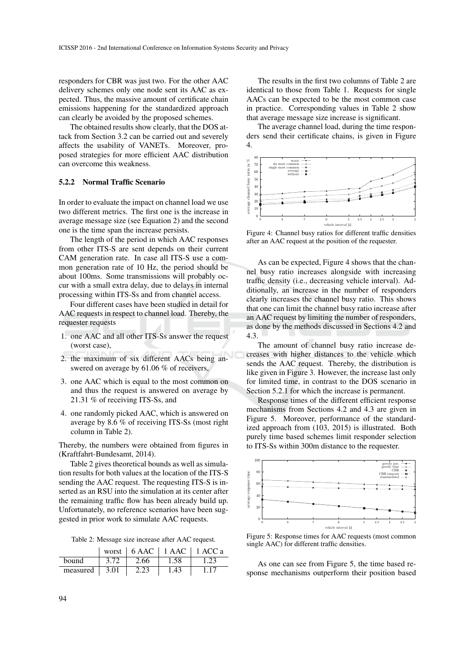responders for CBR was just two. For the other AAC delivery schemes only one node sent its AAC as expected. Thus, the massive amount of certificate chain emissions happening for the standardized approach can clearly be avoided by the proposed schemes.

The obtained results show clearly, that the DOS attack from Section 3.2 can be carried out and severely affects the usability of VANETs. Moreover, proposed strategies for more efficient AAC distribution can overcome this weakness.

## 5.2.2 Normal Traffic Scenario

In order to evaluate the impact on channel load we use two different metrics. The first one is the increase in average message size (see Equation 2) and the second one is the time span the increase persists.

The length of the period in which AAC responses from other ITS-S are sent depends on their current CAM generation rate. In case all ITS-S use a common generation rate of 10 Hz, the period should be about 100ms. Some transmissions will probably occur with a small extra delay, due to delays in internal processing within ITS-Ss and from channel access.

Four different cases have been studied in detail for AAC requests in respect to channel load. Thereby, the requester requests

- 1. one AAC and all other ITS-Ss answer the request (worst case),
- 2. the maximum of six different AACs being answered on average by 61.06 % of receivers,
- 3. one AAC which is equal to the most common on and thus the request is answered on average by 21.31 % of receiving ITS-Ss, and
- 4. one randomly picked AAC, which is answered on average by 8.6 % of receiving ITS-Ss (most right column in Table 2).

Thereby, the numbers were obtained from figures in (Kraftfahrt-Bundesamt, 2014).

Table 2 gives theoretical bounds as well as simulation results for both values at the location of the ITS-S sending the AAC request. The requesting ITS-S is inserted as an RSU into the simulation at its center after the remaining traffic flow has been already build up. Unfortunately, no reference scenarios have been suggested in prior work to simulate AAC requests.

Table 2: Message size increase after AAC request.

|          |      | worst $\pm$ 6 AAC | $1$ AAC $\parallel$ | 1 ACC a |
|----------|------|-------------------|---------------------|---------|
| bound    |      | 2.66              | 1.58                |         |
| measured | 3.01 |                   | .43                 |         |

The results in the first two columns of Table 2 are identical to those from Table 1. Requests for single AACs can be expected to be the most common case in practice. Corresponding values in Table 2 show that average message size increase is significant.

The average channel load, during the time responders send their certificate chains, is given in Figure 4.



Figure 4: Channel busy ratios for different traffic densities after an AAC request at the position of the requester.

As can be expected, Figure 4 shows that the channel busy ratio increases alongside with increasing traffic density (i.e., decreasing vehicle interval). Additionally, an increase in the number of responders clearly increases the channel busy ratio. This shows that one can limit the channel busy ratio increase after an AAC request by limiting the number of responders, as done by the methods discussed in Sections 4.2 and 4.3.

The amount of channel busy ratio increase decreases with higher distances to the vehicle which sends the AAC request. Thereby, the distribution is like given in Figure 3. However, the increase last only for limited time, in contrast to the DOS scenario in Section 5.2.1 for which the increase is permanent.

Response times of the different efficient response mechanisms from Sections 4.2 and 4.3 are given in Figure 5. Moreover, performance of the standardized approach from (103, 2015) is illustrated. Both purely time based schemes limit responder selection to ITS-Ss within 300m distance to the requester.



Figure 5: Response times for AAC requests (most common single AAC) for different traffic densities.

As one can see from Figure 5, the time based response mechanisms outperform their position based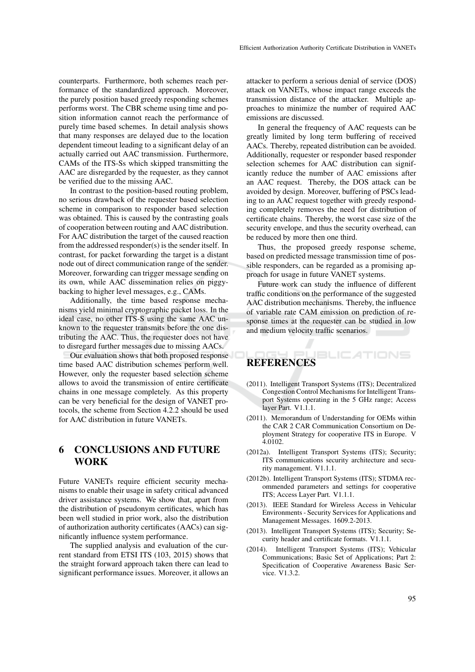counterparts. Furthermore, both schemes reach performance of the standardized approach. Moreover, the purely position based greedy responding schemes performs worst. The CBR scheme using time and position information cannot reach the performance of purely time based schemes. In detail analysis shows that many responses are delayed due to the location dependent timeout leading to a significant delay of an actually carried out AAC transmission. Furthermore, CAMs of the ITS-Ss which skipped transmitting the AAC are disregarded by the requester, as they cannot be verified due to the missing AAC.

In contrast to the position-based routing problem, no serious drawback of the requester based selection scheme in comparison to responder based selection was obtained. This is caused by the contrasting goals of cooperation between routing and AAC distribution. For AAC distribution the target of the caused reaction from the addressed responder(s) is the sender itself. In contrast, for packet forwarding the target is a distant node out of direct communication range of the sender. Moreover, forwarding can trigger message sending on its own, while AAC dissemination relies on piggybacking to higher level messages, e.g., CAMs.

Additionally, the time based response mechanisms yield minimal cryptographic packet loss. In the ideal case, no other ITS-S using the same AAC unknown to the requester transmits before the one distributing the AAC. Thus, the requester does not have to disregard further messages due to missing AACs.

Our evaluation shows that both proposed response time based AAC distribution schemes perform well. However, only the requester based selection scheme allows to avoid the transmission of entire certificate chains in one message completely. As this property can be very beneficial for the design of VANET protocols, the scheme from Section 4.2.2 should be used for AAC distribution in future VANETs.

## 6 CONCLUSIONS AND FUTURE **WORK**

Future VANETs require efficient security mechanisms to enable their usage in safety critical advanced driver assistance systems. We show that, apart from the distribution of pseudonym certificates, which has been well studied in prior work, also the distribution of authorization authority certificates (AACs) can significantly influence system performance.

The supplied analysis and evaluation of the current standard from ETSI ITS (103, 2015) shows that the straight forward approach taken there can lead to significant performance issues. Moreover, it allows an

attacker to perform a serious denial of service (DOS) attack on VANETs, whose impact range exceeds the transmission distance of the attacker. Multiple approaches to minimize the number of required AAC emissions are discussed.

In general the frequency of AAC requests can be greatly limited by long term buffering of received AACs. Thereby, repeated distribution can be avoided. Additionally, requester or responder based responder selection schemes for AAC distribution can significantly reduce the number of AAC emissions after an AAC request. Thereby, the DOS attack can be avoided by design. Moreover, buffering of PSCs leading to an AAC request together with greedy responding completely removes the need for distribution of certificate chains. Thereby, the worst case size of the security envelope, and thus the security overhead, can be reduced by more then one third.

Thus, the proposed greedy response scheme, based on predicted message transmission time of possible responders, can be regarded as a promising approach for usage in future VANET systems.

Future work can study the influence of different traffic conditions on the performance of the suggested AAC distribution mechanisms. Thereby, the influence of variable rate CAM emission on prediction of response times at the requester can be studied in low and medium velocity traffic scenarios.

## **BLICATIONS REFERENCES**

- (2011). Intelligent Transport Systems (ITS); Decentralized Congestion Control Mechanisms for Intelligent Transport Systems operating in the 5 GHz range; Access layer Part. V1.1.1.
- (2011). Memorandum of Understanding for OEMs within the CAR 2 CAR Communication Consortium on Deployment Strategy for cooperative ITS in Europe. V 4.0102.
- (2012a). Intelligent Transport Systems (ITS); Security; ITS communications security architecture and security management. V1.1.1.
- (2012b). Intelligent Transport Systems (ITS); STDMA recommended parameters and settings for cooperative ITS; Access Layer Part. V1.1.1.
- (2013). IEEE Standard for Wireless Access in Vehicular Environments - Security Services for Applications and Management Messages. 1609.2-2013.
- (2013). Intelligent Transport Systems (ITS); Security; Security header and certificate formats. V1.1.1.
- (2014). Intelligent Transport Systems (ITS); Vehicular Communications; Basic Set of Applications; Part 2: Specification of Cooperative Awareness Basic Service. V1.3.2.